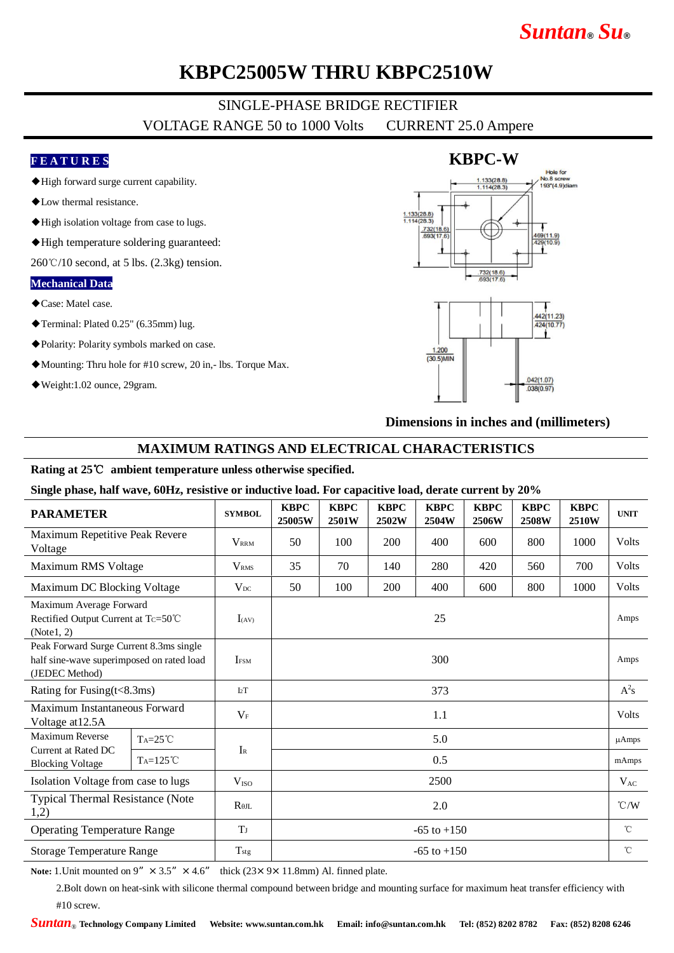# *Suntan***®** *Su***®**

## **KBPC25005W THRU KBPC2510W**

# SINGLE-PHASE BRIDGE RECTIFIER

VOLTAGE RANGE 50 to 1000 Volts CURRENT 25.0 Ampere

#### **F E A T U R E S**

- ◆High forward surge current capability.
- ◆Low thermal resistance.
- ◆High isolation voltage from case to lugs.
- ◆High temperature soldering guaranteed:

 $260^{\circ}$ C/10 second, at 5 lbs. (2.3kg) tension.

#### **Mechanical Data**

- ◆Case: Matel case.
- ◆Terminal: Plated 0.25" (6.35mm) lug.
- ◆Polarity: Polarity symbols marked on case.
- ◆Mounting: Thru hole for #10 screw, 20 in,- lbs. Torque Max.
- ◆Weight:1.02 ounce, 29gram.



**Dimensions in inches and (millimeters)**

#### **MAXIMUM RATINGS AND ELECTRICAL CHARACTERISTICS**

#### **Rating at 25**℃ **ambient temperature unless otherwise specified.**

**Single phase, half wave, 60Hz, resistive or inductive load. For capacitive load, derate current by 20%**

| <b>PARAMETER</b>                                                                                       |                   | <b>SYMBOL</b>           | <b>KBPC</b><br>25005W | <b>KBPC</b><br>2501W | <b>KBPC</b><br>2502W | <b>KBPC</b><br>2504W | <b>KBPC</b><br>2506W | <b>KBPC</b><br>2508W | <b>KBPC</b><br>2510W | <b>UNIT</b>     |
|--------------------------------------------------------------------------------------------------------|-------------------|-------------------------|-----------------------|----------------------|----------------------|----------------------|----------------------|----------------------|----------------------|-----------------|
| Maximum Repetitive Peak Revere<br>Voltage                                                              |                   | <b>VRRM</b>             | 50                    | 100                  | <b>200</b>           | 400                  | 600                  | 800                  | 1000                 | Volts           |
| Maximum RMS Voltage                                                                                    |                   | <b>V</b> <sub>RMS</sub> | 35                    | 70                   | 140                  | 280                  | 420                  | 560                  | 700                  | Volts           |
| Maximum DC Blocking Voltage                                                                            |                   | $V_{DC}$                | 50                    | 100                  | 200                  | 400                  | 600                  | 800                  | 1000                 | Volts           |
| Maximum Average Forward<br>Rectified Output Current at Tc=50℃<br>(Note1, 2)                            |                   | $I_{(AV)}$              | 25                    |                      |                      |                      |                      |                      |                      | Amps            |
| Peak Forward Surge Current 8.3ms single<br>half sine-wave superimposed on rated load<br>(JEDEC Method) |                   | <b>IFSM</b>             | 300                   |                      |                      |                      |                      |                      |                      | Amps            |
| Rating for Fusing $(t<8.3ms)$                                                                          |                   | I2T                     | 373                   |                      |                      |                      |                      |                      |                      | $A^2s$          |
| Maximum Instantaneous Forward<br>Voltage at 12.5A                                                      |                   | $V_F$                   | 1.1                   |                      |                      |                      |                      |                      |                      | Volts           |
| Maximum Reverse<br>Current at Rated DC<br><b>Blocking Voltage</b>                                      | $Ta=25^{\circ}C$  | $I_{R}$                 | 5.0                   |                      |                      |                      |                      |                      |                      | $\mu$ Amps      |
|                                                                                                        | $Ta=125^{\circ}C$ |                         | 0.5                   |                      |                      |                      |                      |                      |                      | mAmps           |
| Isolation Voltage from case to lugs                                                                    |                   | V <sub>ISO</sub>        | 2500                  |                      |                      |                      |                      |                      |                      | $V_{AC}$        |
| <b>Typical Thermal Resistance (Note</b><br>1,2)                                                        |                   | $R_{\theta IL}$         | 2.0                   |                      |                      |                      |                      |                      |                      | $\mathcal{C}/W$ |
| <b>Operating Temperature Range</b>                                                                     |                   | T                       | $-65$ to $+150$       |                      |                      |                      |                      |                      |                      | $^{\circ}$ C    |
| <b>Storage Temperature Range</b>                                                                       |                   | T <sub>stg</sub>        | $-65$ to $+150$       |                      |                      |                      |                      |                      |                      | $^{\circ}$ C    |

**Note:** 1. Unit mounted on 9"  $\times$  3.5"  $\times$  4.6" thick (23 $\times$  9 $\times$  11.8mm) Al. finned plate.

2.Bolt down on heat-sink with silicone thermal compound between bridge and mounting surface for maximum heat transfer efficiency with #10 screw.